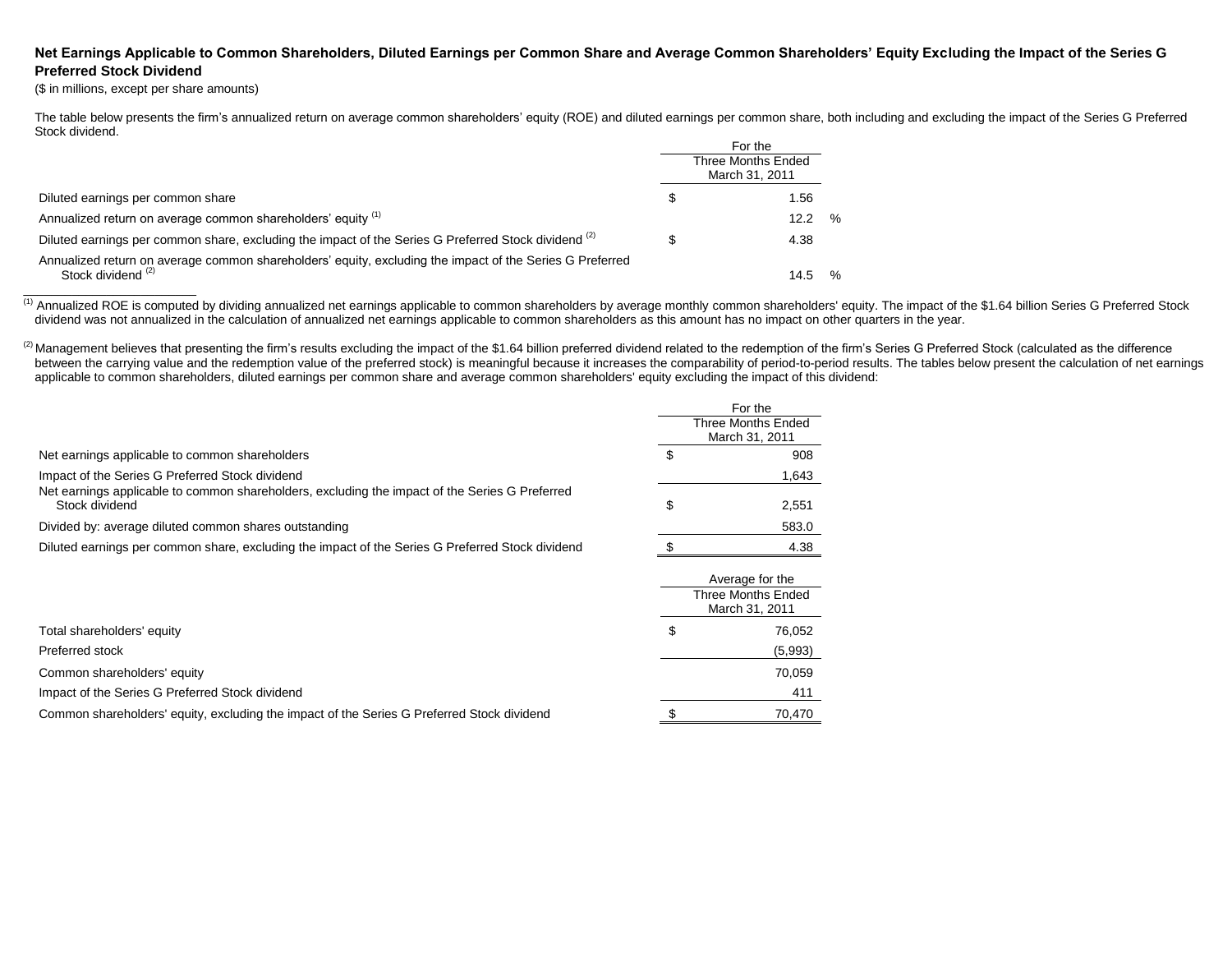## **Net Earnings Applicable to Common Shareholders, Diluted Earnings per Common Share and Average Common Shareholders' Equity Excluding the Impact of the Series G Preferred Stock Dividend**

(\$ in millions, except per share amounts)

\_\_\_\_\_\_\_\_\_\_\_\_\_\_\_\_\_\_\_\_\_\_\_\_\_

The table below presents the firm's annualized return on average common shareholders' equity (ROE) and diluted earnings per common share, both including and excluding the impact of the Series G Preferred Stock dividend.

|                                                                                                                                           |  | For the<br>Three Months Ended<br>March 31, 2011 |      |
|-------------------------------------------------------------------------------------------------------------------------------------------|--|-------------------------------------------------|------|
| Diluted earnings per common share                                                                                                         |  | 1.56                                            |      |
| Annualized return on average common shareholders' equity (1)                                                                              |  | 12.2                                            | $\%$ |
| Diluted earnings per common share, excluding the impact of the Series G Preferred Stock dividend <sup>(2)</sup>                           |  | 4.38                                            |      |
| Annualized return on average common shareholders' equity, excluding the impact of the Series G Preferred<br>Stock dividend <sup>(2)</sup> |  | 14.5                                            | $\%$ |

(1) Annualized ROE is computed by dividing annualized net earnings applicable to common shareholders by average monthly common shareholders' equity. The impact of the \$1.64 billion Series G Preferred Stock dividend was not annualized in the calculation of annualized net earnings applicable to common shareholders as this amount has no impact on other quarters in the year.

<sup>(2)</sup> Management believes that presenting the firm's results excluding the impact of the \$1.64 billion preferred dividend related to the redemption of the firm's Series G Preferred Stock (calculated as the difference between the carrying value and the redemption value of the preferred stock) is meaningful because it increases the comparability of period-to-period results. The tables below present the calculation of net earnings applicable to common shareholders, diluted earnings per common share and average common shareholders' equity excluding the impact of this dividend:

|                                                                                                                  | For the |                                             |
|------------------------------------------------------------------------------------------------------------------|---------|---------------------------------------------|
|                                                                                                                  |         | <b>Three Months Ended</b><br>March 31, 2011 |
| Net earnings applicable to common shareholders                                                                   | S       | 908                                         |
|                                                                                                                  |         |                                             |
| Impact of the Series G Preferred Stock dividend                                                                  |         | 1,643                                       |
| Net earnings applicable to common shareholders, excluding the impact of the Series G Preferred<br>Stock dividend | \$      | 2,551                                       |
| Divided by: average diluted common shares outstanding                                                            |         | 583.0                                       |
| Diluted earnings per common share, excluding the impact of the Series G Preferred Stock dividend                 |         | 4.38                                        |
|                                                                                                                  |         | Average for the                             |
|                                                                                                                  |         | Three Months Ended<br>March 31, 2011        |
|                                                                                                                  |         |                                             |
| Total shareholders' equity                                                                                       | S       | 76,052                                      |
| Preferred stock                                                                                                  |         | (5,993)                                     |
| Common shareholders' equity                                                                                      |         | 70,059                                      |
| Impact of the Series G Preferred Stock dividend                                                                  |         | 411                                         |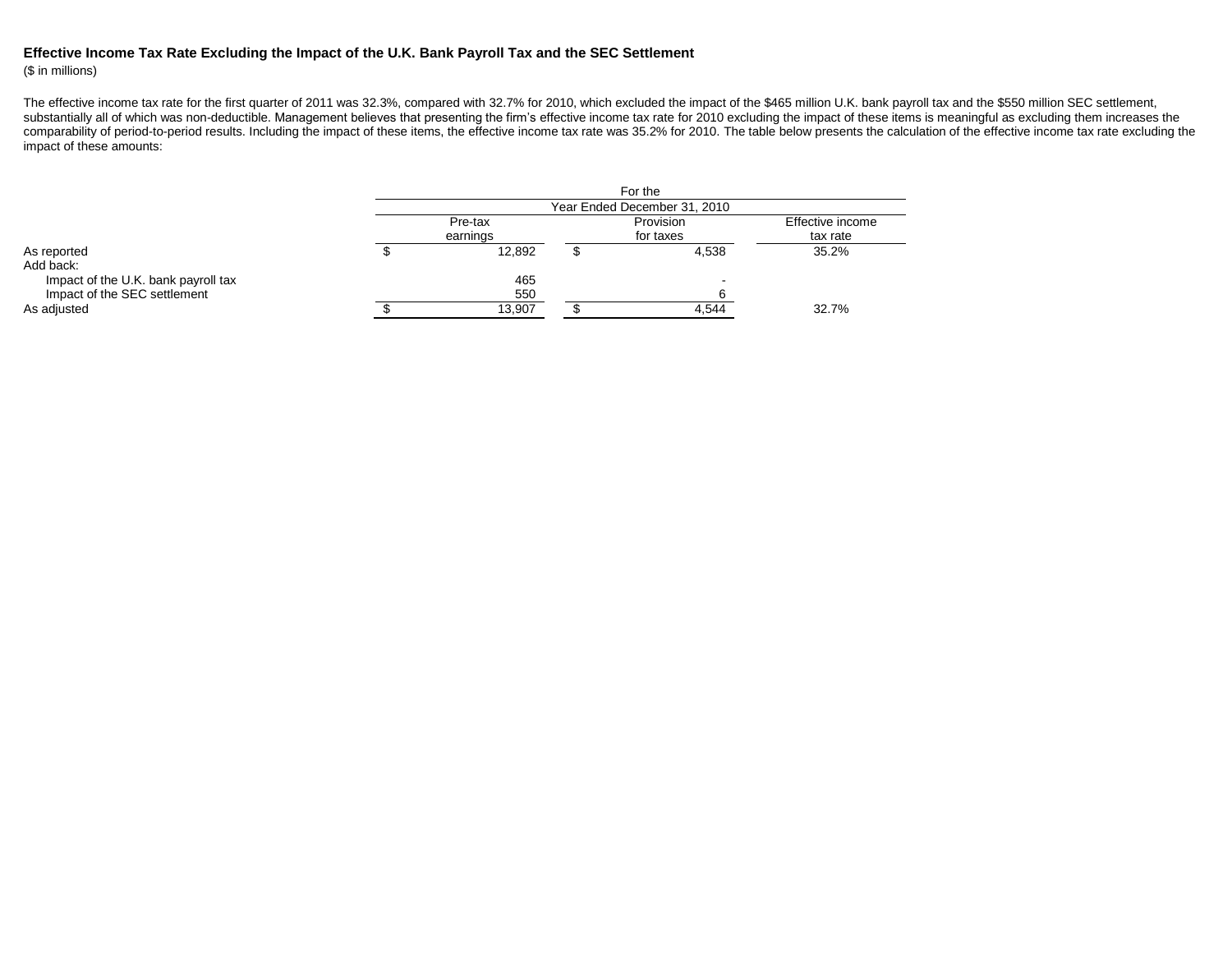## **Effective Income Tax Rate Excluding the Impact of the U.K. Bank Payroll Tax and the SEC Settlement**

## (\$ in millions)

The effective income tax rate for the first quarter of 2011 was 32.3%, compared with 32.7% for 2010, which excluded the impact of the \$465 million U.K. bank payroll tax and the \$550 million SEC settlement, substantially all of which was non-deductible. Management believes that presenting the firm's effective income tax rate for 2010 excluding the impact of these items is meaningful as excluding them increases the comparability of period-to-period results. Including the impact of these items, the effective income tax rate was 35.2% for 2010. The table below presents the calculation of the effective income tax rate excluding the impact of these amounts:

|                                     |                              |          |                  | For the                  |          |  |
|-------------------------------------|------------------------------|----------|------------------|--------------------------|----------|--|
|                                     | Year Ended December 31, 2010 |          |                  |                          |          |  |
|                                     | Provision<br>Pre-tax         |          | Effective income |                          |          |  |
|                                     |                              | earnings | for taxes        |                          | tax rate |  |
| As reported                         |                              | 12.892   |                  | 4.538                    | 35.2%    |  |
| Add back:                           |                              |          |                  |                          |          |  |
| Impact of the U.K. bank payroll tax |                              | 465      |                  | $\overline{\phantom{0}}$ |          |  |
| Impact of the SEC settlement        |                              | 550      |                  |                          |          |  |
| As adjusted                         |                              | 13,907   |                  | 4,544                    | 32.7%    |  |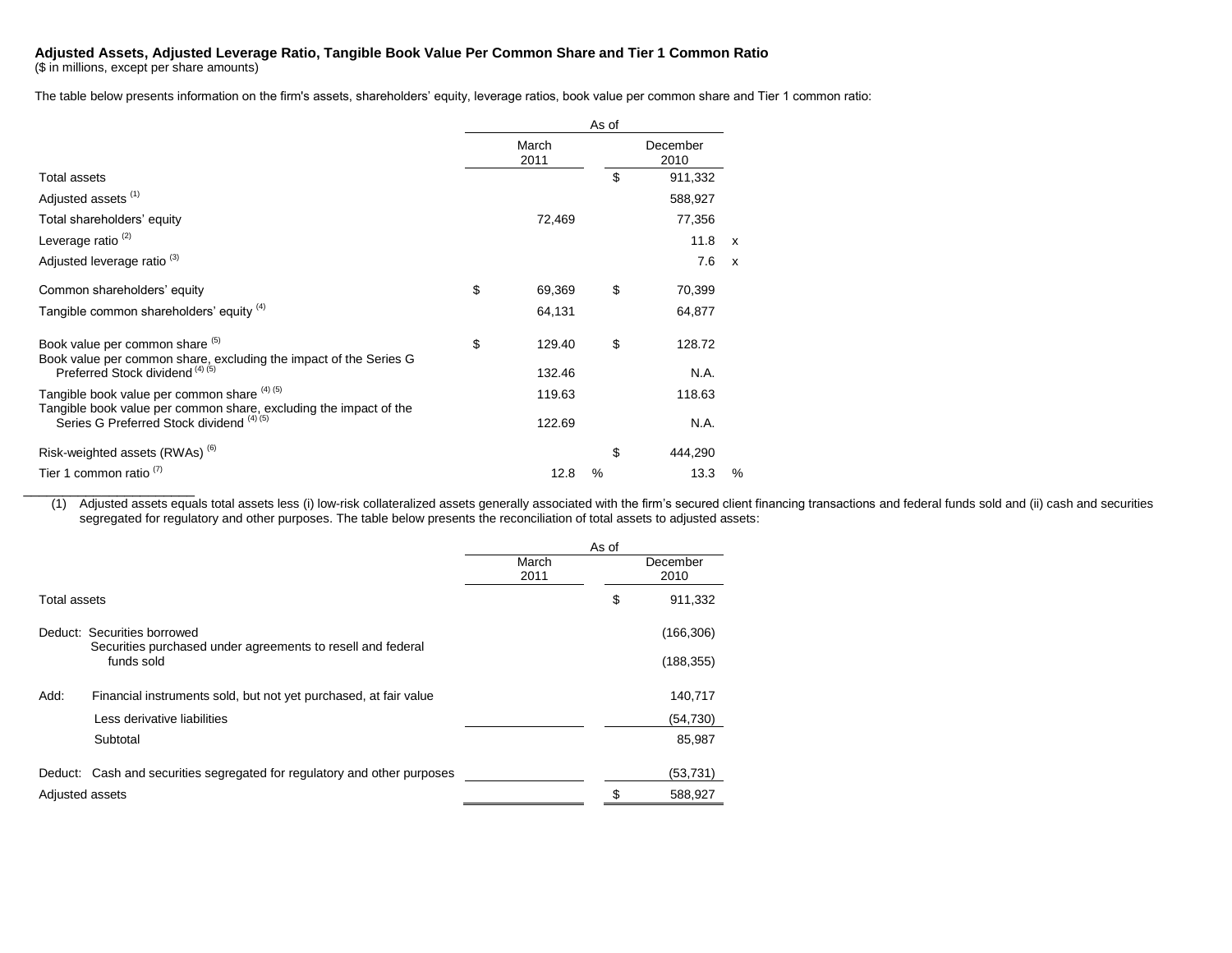## **Adjusted Assets, Adjusted Leverage Ratio, Tangible Book Value Per Common Share and Tier 1 Common Ratio**

(\$ in millions, except per share amounts)

\_\_\_\_\_\_\_\_\_\_\_\_\_\_\_\_\_\_\_\_\_\_

The table below presents information on the firm's assets, shareholders' equity, leverage ratios, book value per common share and Tier 1 common ratio:

|                                                                                                                   | As of |               |    |                  |               |
|-------------------------------------------------------------------------------------------------------------------|-------|---------------|----|------------------|---------------|
|                                                                                                                   |       | March<br>2011 |    | December<br>2010 |               |
| Total assets                                                                                                      |       |               | \$ | 911,332          |               |
| Adjusted assets <sup>(1)</sup>                                                                                    |       |               |    | 588,927          |               |
| Total shareholders' equity                                                                                        |       | 72,469        |    | 77,356           |               |
| Leverage ratio $(2)$                                                                                              |       |               |    | 11.8             | $\mathsf{x}$  |
| Adjusted leverage ratio <sup>(3)</sup>                                                                            |       |               |    | 7.6              | $\mathbf{x}$  |
| Common shareholders' equity                                                                                       | \$    | 69,369        | \$ | 70,399           |               |
| Tangible common shareholders' equity (4)                                                                          |       | 64,131        |    | 64,877           |               |
| Book value per common share (b)<br>Book value per common share, excluding the impact of the Series G              | \$    | 129.40        | \$ | 128.72           |               |
| Preferred Stock dividend (4) (5)                                                                                  |       | 132.46        |    | N.A.             |               |
| Tangible book value per common share (4) (5)<br>Tangible book value per common share, excluding the impact of the |       | 119.63        |    | 118.63           |               |
| Series G Preferred Stock dividend (4) (5)                                                                         |       | 122.69        |    | N.A.             |               |
| Risk-weighted assets (RWAs) <sup>(6)</sup>                                                                        |       |               | \$ | 444,290          |               |
| Tier 1 common ratio <sup>(7)</sup>                                                                                |       | 12.8          | %  | 13.3             | $\frac{0}{0}$ |

(1) Adjusted assets equals total assets less (i) low-risk collateralized assets generally associated with the firm's secured client financing transactions and federal funds sold and (ii) cash and securities segregated for regulatory and other purposes. The table below presents the reconciliation of total assets to adjusted assets:

|                     |                                                                                            | As of         |    |                  |
|---------------------|--------------------------------------------------------------------------------------------|---------------|----|------------------|
|                     |                                                                                            | March<br>2011 |    | December<br>2010 |
| <b>Total assets</b> |                                                                                            |               | \$ | 911,332          |
|                     | Deduct: Securities borrowed<br>Securities purchased under agreements to resell and federal |               |    | (166, 306)       |
|                     | funds sold                                                                                 |               |    | (188, 355)       |
| Add:                | Financial instruments sold, but not yet purchased, at fair value                           |               |    | 140,717          |
|                     | Less derivative liabilities                                                                |               |    | (54, 730)        |
|                     | Subtotal                                                                                   |               |    | 85,987           |
|                     | Deduct: Cash and securities segregated for regulatory and other purposes                   |               |    | (53, 731)        |
| Adjusted assets     |                                                                                            |               |    | 588,927          |